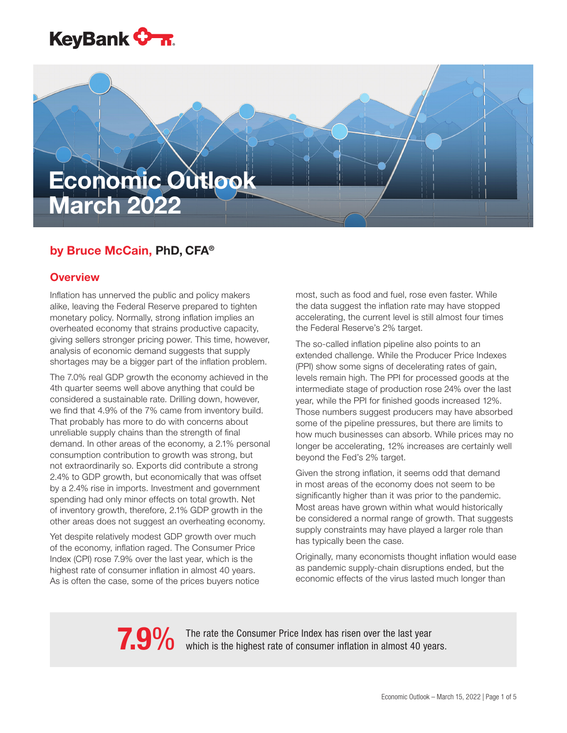

# Economic Outlook March 2022

# by Bruce McCain, PhD, CFA®

# **Overview**

Inflation has unnerved the public and policy makers alike, leaving the Federal Reserve prepared to tighten monetary policy. Normally, strong inflation implies an overheated economy that strains productive capacity, giving sellers stronger pricing power. This time, however, analysis of economic demand suggests that supply shortages may be a bigger part of the inflation problem.

The 7.0% real GDP growth the economy achieved in the 4th quarter seems well above anything that could be considered a sustainable rate. Drilling down, however, we find that 4.9% of the 7% came from inventory build. That probably has more to do with concerns about unreliable supply chains than the strength of final demand. In other areas of the economy, a 2.1% personal consumption contribution to growth was strong, but not extraordinarily so. Exports did contribute a strong 2.4% to GDP growth, but economically that was offset by a 2.4% rise in imports. Investment and government spending had only minor effects on total growth. Net of inventory growth, therefore, 2.1% GDP growth in the other areas does not suggest an overheating economy.

Yet despite relatively modest GDP growth over much of the economy, inflation raged. The Consumer Price Index (CPI) rose 7.9% over the last year, which is the highest rate of consumer inflation in almost 40 years. As is often the case, some of the prices buyers notice most, such as food and fuel, rose even faster. While the data suggest the inflation rate may have stopped accelerating, the current level is still almost four times the Federal Reserve's 2% target.

The so-called inflation pipeline also points to an extended challenge. While the Producer Price Indexes (PPI) show some signs of decelerating rates of gain, levels remain high. The PPI for processed goods at the intermediate stage of production rose 24% over the last year, while the PPI for finished goods increased 12%. Those numbers suggest producers may have absorbed some of the pipeline pressures, but there are limits to how much businesses can absorb. While prices may no longer be accelerating, 12% increases are certainly well beyond the Fed's 2% target.

Given the strong inflation, it seems odd that demand in most areas of the economy does not seem to be significantly higher than it was prior to the pandemic. Most areas have grown within what would historically be considered a normal range of growth. That suggests supply constraints may have played a larger role than has typically been the case.

Originally, many economists thought inflation would ease as pandemic supply-chain disruptions ended, but the economic effects of the virus lasted much longer than

The rate the Consumer Price Index has risen extended the last 40 years.<br>
The rate the highest rate of consumer inflation in almost 40 years.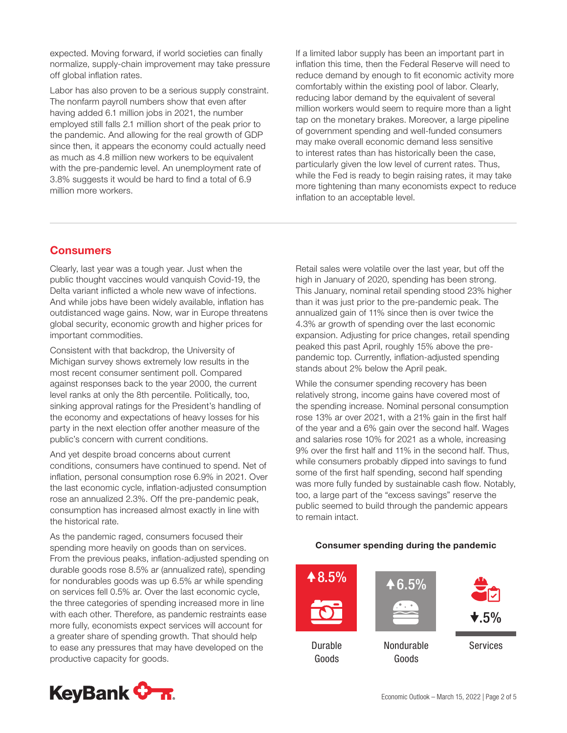expected. Moving forward, if world societies can finally normalize, supply-chain improvement may take pressure off global inflation rates.

Labor has also proven to be a serious supply constraint. The nonfarm payroll numbers show that even after having added 6.1 million jobs in 2021, the number employed still falls 2.1 million short of the peak prior to the pandemic. And allowing for the real growth of GDP since then, it appears the economy could actually need as much as 4.8 million new workers to be equivalent with the pre-pandemic level. An unemployment rate of 3.8% suggests it would be hard to find a total of 6.9 million more workers.

If a limited labor supply has been an important part in inflation this time, then the Federal Reserve will need to reduce demand by enough to fit economic activity more comfortably within the existing pool of labor. Clearly, reducing labor demand by the equivalent of several million workers would seem to require more than a light tap on the monetary brakes. Moreover, a large pipeline of government spending and well-funded consumers may make overall economic demand less sensitive to interest rates than has historically been the case, particularly given the low level of current rates. Thus, while the Fed is ready to begin raising rates, it may take more tightening than many economists expect to reduce inflation to an acceptable level.

# **Consumers**

Clearly, last year was a tough year. Just when the public thought vaccines would vanquish Covid-19, the Delta variant inflicted a whole new wave of infections. And while jobs have been widely available, inflation has outdistanced wage gains. Now, war in Europe threatens global security, economic growth and higher prices for important commodities.

Consistent with that backdrop, the University of Michigan survey shows extremely low results in the most recent consumer sentiment poll. Compared against responses back to the year 2000, the current level ranks at only the 8th percentile. Politically, too, sinking approval ratings for the President's handling of the economy and expectations of heavy losses for his party in the next election offer another measure of the public's concern with current conditions.

And yet despite broad concerns about current conditions, consumers have continued to spend. Net of inflation, personal consumption rose 6.9% in 2021. Over the last economic cycle, inflation-adjusted consumption rose an annualized 2.3%. Off the pre-pandemic peak, consumption has increased almost exactly in line with the historical rate.

As the pandemic raged, consumers focused their spending more heavily on goods than on services. From the previous peaks, inflation-adjusted spending on durable goods rose 8.5% ar (annualized rate), spending for nondurables goods was up 6.5% ar while spending on services fell 0.5% ar. Over the last economic cycle, the three categories of spending increased more in line with each other. Therefore, as pandemic restraints ease more fully, economists expect services will account for a greater share of spending growth. That should help to ease any pressures that may have developed on the productive capacity for goods.



While the consumer spending recovery has been relatively strong, income gains have covered most of the spending increase. Nominal personal consumption rose 13% ar over 2021, with a 21% gain in the first half of the year and a 6% gain over the second half. Wages and salaries rose 10% for 2021 as a whole, increasing 9% over the first half and 11% in the second half. Thus, while consumers probably dipped into savings to fund some of the first half spending, second half spending was more fully funded by sustainable cash flow. Notably, too, a large part of the "excess savings" reserve the public seemed to build through the pandemic appears to remain intact.

### Consumer spending during the pandemic



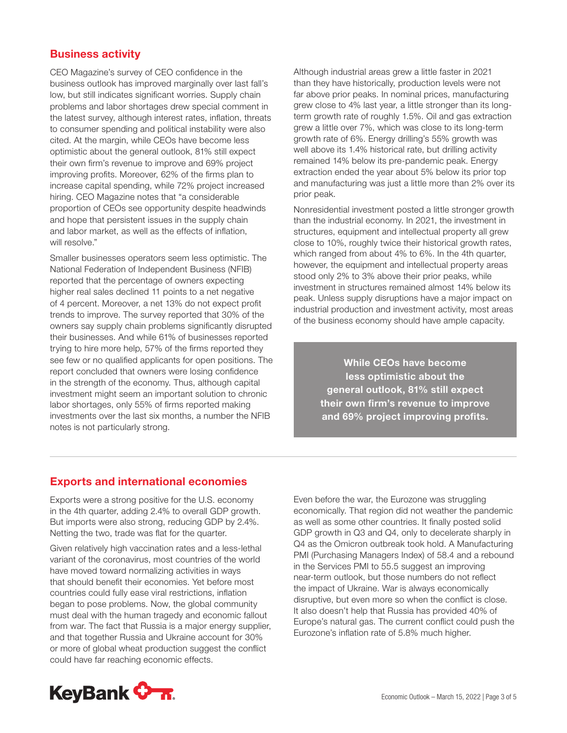# Business activity

CEO Magazine's survey of CEO confidence in the business outlook has improved marginally over last fall's low, but still indicates significant worries. Supply chain problems and labor shortages drew special comment in the latest survey, although interest rates, inflation, threats to consumer spending and political instability were also cited. At the margin, while CEOs have become less optimistic about the general outlook, 81% still expect their own firm's revenue to improve and 69% project improving profits. Moreover, 62% of the firms plan to increase capital spending, while 72% project increased hiring. CEO Magazine notes that "a considerable proportion of CEOs see opportunity despite headwinds and hope that persistent issues in the supply chain and labor market, as well as the effects of inflation, will resolve."

Smaller businesses operators seem less optimistic. The National Federation of Independent Business (NFIB) reported that the percentage of owners expecting higher real sales declined 11 points to a net negative of 4 percent. Moreover, a net 13% do not expect profit trends to improve. The survey reported that 30% of the owners say supply chain problems significantly disrupted their businesses. And while 61% of businesses reported trying to hire more help, 57% of the firms reported they see few or no qualified applicants for open positions. The report concluded that owners were losing confidence in the strength of the economy. Thus, although capital investment might seem an important solution to chronic labor shortages, only 55% of firms reported making investments over the last six months, a number the NFIB notes is not particularly strong.

Although industrial areas grew a little faster in 2021 than they have historically, production levels were not far above prior peaks. In nominal prices, manufacturing grew close to 4% last year, a little stronger than its longterm growth rate of roughly 1.5%. Oil and gas extraction grew a little over 7%, which was close to its long-term growth rate of 6%. Energy drilling's 55% growth was well above its 1.4% historical rate, but drilling activity remained 14% below its pre-pandemic peak. Energy extraction ended the year about 5% below its prior top and manufacturing was just a little more than 2% over its prior peak.

Nonresidential investment posted a little stronger growth than the industrial economy. In 2021, the investment in structures, equipment and intellectual property all grew close to 10%, roughly twice their historical growth rates, which ranged from about 4% to 6%. In the 4th quarter, however, the equipment and intellectual property areas stood only 2% to 3% above their prior peaks, while investment in structures remained almost 14% below its peak. Unless supply disruptions have a major impact on industrial production and investment activity, most areas of the business economy should have ample capacity.

> While CEOs have become less optimistic about the general outlook, 81% still expect their own firm's revenue to improve and 69% project improving profits.

# Exports and international economies

Exports were a strong positive for the U.S. economy in the 4th quarter, adding 2.4% to overall GDP growth. But imports were also strong, reducing GDP by 2.4%. Netting the two, trade was flat for the quarter.

Given relatively high vaccination rates and a less-lethal variant of the coronavirus, most countries of the world have moved toward normalizing activities in ways that should benefit their economies. Yet before most countries could fully ease viral restrictions, inflation began to pose problems. Now, the global community must deal with the human tragedy and economic fallout from war. The fact that Russia is a major energy supplier, and that together Russia and Ukraine account for 30% or more of global wheat production suggest the conflict could have far reaching economic effects.

Even before the war, the Eurozone was struggling economically. That region did not weather the pandemic as well as some other countries. It finally posted solid GDP growth in Q3 and Q4, only to decelerate sharply in Q4 as the Omicron outbreak took hold. A Manufacturing PMI (Purchasing Managers Index) of 58.4 and a rebound in the Services PMI to 55.5 suggest an improving near-term outlook, but those numbers do not reflect the impact of Ukraine. War is always economically disruptive, but even more so when the conflict is close. It also doesn't help that Russia has provided 40% of Europe's natural gas. The current conflict could push the Eurozone's inflation rate of 5.8% much higher.

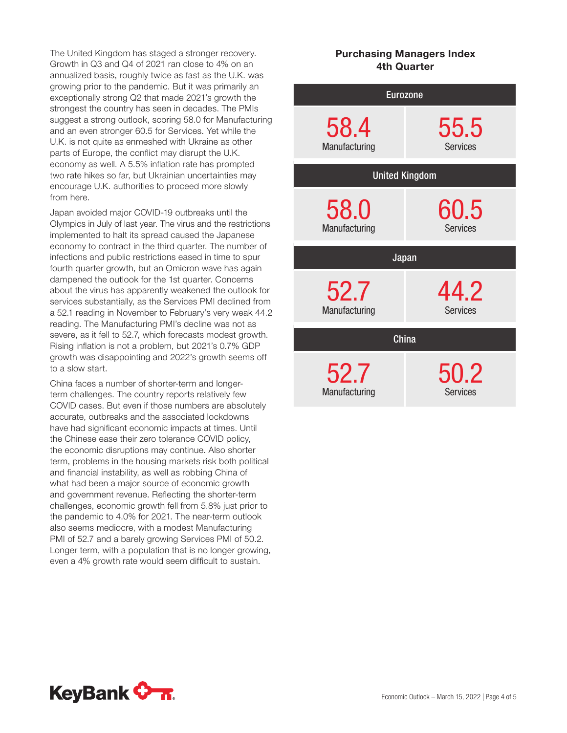The United Kingdom has staged a stronger recovery. Growth in Q3 and Q4 of 2021 ran close to 4% on an annualized basis, roughly twice as fast as the U.K. was growing prior to the pandemic. But it was primarily an exceptionally strong Q2 that made 2021's growth the strongest the country has seen in decades. The PMIs suggest a strong outlook, scoring 58.0 for Manufacturing and an even stronger 60.5 for Services. Yet while the U.K. is not quite as enmeshed with Ukraine as other parts of Europe, the conflict may disrupt the U.K. economy as well. A 5.5% inflation rate has prompted two rate hikes so far, but Ukrainian uncertainties may encourage U.K. authorities to proceed more slowly from here.

Japan avoided major COVID-19 outbreaks until the Olympics in July of last year. The virus and the restrictions implemented to halt its spread caused the Japanese economy to contract in the third quarter. The number of infections and public restrictions eased in time to spur fourth quarter growth, but an Omicron wave has again dampened the outlook for the 1st quarter. Concerns about the virus has apparently weakened the outlook for services substantially, as the Services PMI declined from a 52.1 reading in November to February's very weak 44.2 reading. The Manufacturing PMI's decline was not as severe, as it fell to 52.7, which forecasts modest growth. Rising inflation is not a problem, but 2021's 0.7% GDP growth was disappointing and 2022's growth seems off to a slow start.

China faces a number of shorter-term and longerterm challenges. The country reports relatively few COVID cases. But even if those numbers are absolutely accurate, outbreaks and the associated lockdowns have had significant economic impacts at times. Until the Chinese ease their zero tolerance COVID policy, the economic disruptions may continue. Also shorter term, problems in the housing markets risk both political and financial instability, as well as robbing China of what had been a major source of economic growth and government revenue. Reflecting the shorter-term challenges, economic growth fell from 5.8% just prior to the pandemic to 4.0% for 2021. The near-term outlook also seems mediocre, with a modest Manufacturing PMI of 52.7 and a barely growing Services PMI of 50.2. Longer term, with a population that is no longer growing, even a 4% growth rate would seem difficult to sustain.

# Purchasing Managers Index 4th Quarter